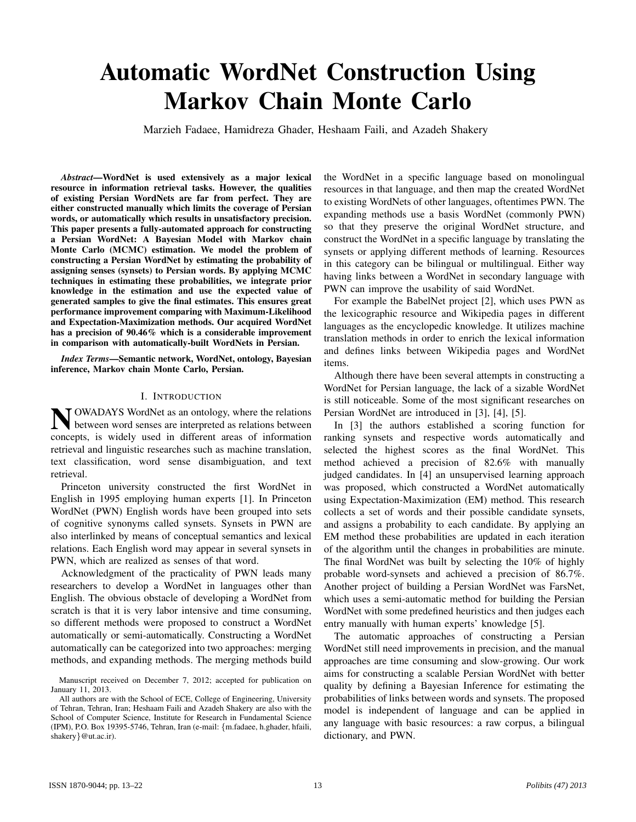# Automatic WordNet Construction Using Markov Chain Monte Carlo

Marzieh Fadaee, Hamidreza Ghader, Heshaam Faili, and Azadeh Shakery

*Abstract*—WordNet is used extensively as a major lexical resource in information retrieval tasks. However, the qualities of existing Persian WordNets are far from perfect. They are either constructed manually which limits the coverage of Persian words, or automatically which results in unsatisfactory precision. This paper presents a fully-automated approach for constructing a Persian WordNet: A Bayesian Model with Markov chain Monte Carlo (MCMC) estimation. We model the problem of constructing a Persian WordNet by estimating the probability of assigning senses (synsets) to Persian words. By applying MCMC techniques in estimating these probabilities, we integrate prior knowledge in the estimation and use the expected value of generated samples to give the final estimates. This ensures great performance improvement comparing with Maximum-Likelihood and Expectation-Maximization methods. Our acquired WordNet has a precision of 90.46% which is a considerable improvement in comparison with automatically-built WordNets in Persian.

*Index Terms*—Semantic network, WordNet, ontology, Bayesian inference, Markov chain Monte Carlo, Persian.

#### I. INTRODUCTION

N OWADAYS WordNet as an ontology, where the relations between word senses are interpreted as relations between concepts, is widely used in different areas of information OWADAYS WordNet as an ontology, where the relations between word senses are interpreted as relations between retrieval and linguistic researches such as machine translation, text classification, word sense disambiguation, and text retrieval.

Princeton university constructed the first WordNet in English in 1995 employing human experts [1]. In Princeton WordNet (PWN) English words have been grouped into sets of cognitive synonyms called synsets. Synsets in PWN are also interlinked by means of conceptual semantics and lexical relations. Each English word may appear in several synsets in PWN, which are realized as senses of that word.

Acknowledgment of the practicality of PWN leads many researchers to develop a WordNet in languages other than English. The obvious obstacle of developing a WordNet from scratch is that it is very labor intensive and time consuming, so different methods were proposed to construct a WordNet automatically or semi-automatically. Constructing a WordNet automatically can be categorized into two approaches: merging methods, and expanding methods. The merging methods build the WordNet in a specific language based on monolingual resources in that language, and then map the created WordNet to existing WordNets of other languages, oftentimes PWN. The expanding methods use a basis WordNet (commonly PWN) so that they preserve the original WordNet structure, and construct the WordNet in a specific language by translating the synsets or applying different methods of learning. Resources in this category can be bilingual or multilingual. Either way having links between a WordNet in secondary language with PWN can improve the usability of said WordNet.

For example the BabelNet project [2], which uses PWN as the lexicographic resource and Wikipedia pages in different languages as the encyclopedic knowledge. It utilizes machine translation methods in order to enrich the lexical information and defines links between Wikipedia pages and WordNet items.

Although there have been several attempts in constructing a WordNet for Persian language, the lack of a sizable WordNet is still noticeable. Some of the most significant researches on Persian WordNet are introduced in [3], [4], [5].

In [3] the authors established a scoring function for ranking synsets and respective words automatically and selected the highest scores as the final WordNet. This method achieved a precision of 82.6% with manually judged candidates. In [4] an unsupervised learning approach was proposed, which constructed a WordNet automatically using Expectation-Maximization (EM) method. This research collects a set of words and their possible candidate synsets, and assigns a probability to each candidate. By applying an EM method these probabilities are updated in each iteration of the algorithm until the changes in probabilities are minute. The final WordNet was built by selecting the 10% of highly probable word-synsets and achieved a precision of 86.7%. Another project of building a Persian WordNet was FarsNet, which uses a semi-automatic method for building the Persian WordNet with some predefined heuristics and then judges each entry manually with human experts' knowledge [5].

The automatic approaches of constructing a Persian WordNet still need improvements in precision, and the manual approaches are time consuming and slow-growing. Our work aims for constructing a scalable Persian WordNet with better quality by defining a Bayesian Inference for estimating the probabilities of links between words and synsets. The proposed model is independent of language and can be applied in any language with basic resources: a raw corpus, a bilingual dictionary, and PWN.

Manuscript received on December 7, 2012; accepted for publication on January 11, 2013.

All authors are with the School of ECE, College of Engineering, University of Tehran, Tehran, Iran; Heshaam Faili and Azadeh Shakery are also with the School of Computer Science, Institute for Research in Fundamental Science (IPM), P.O. Box 19395-5746, Tehran, Iran (e-mail: {m.fadaee, h.ghader, hfaili, shakery}@ut.ac.ir).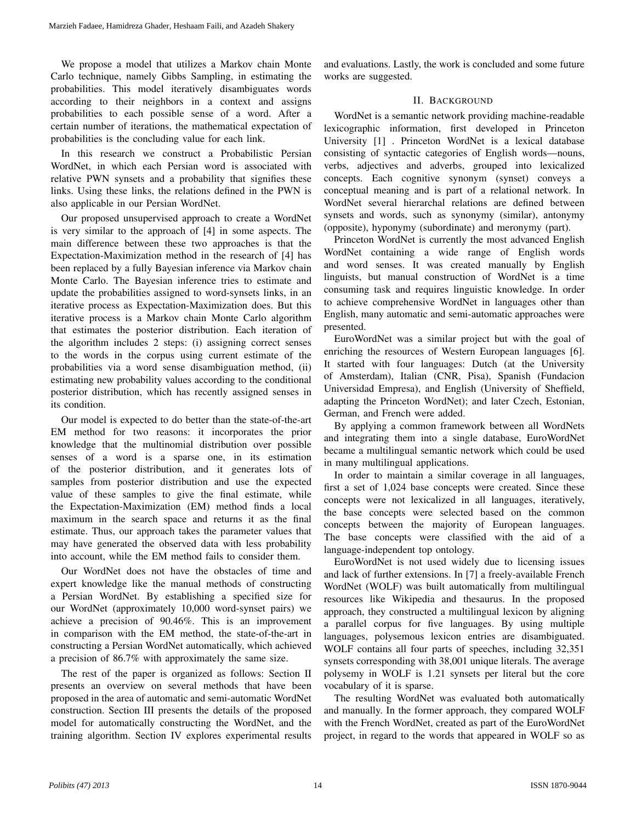We propose a model that utilizes a Markov chain Monte Carlo technique, namely Gibbs Sampling, in estimating the probabilities. This model iteratively disambiguates words according to their neighbors in a context and assigns probabilities to each possible sense of a word. After a certain number of iterations, the mathematical expectation of probabilities is the concluding value for each link.

In this research we construct a Probabilistic Persian WordNet, in which each Persian word is associated with relative PWN synsets and a probability that signifies these links. Using these links, the relations defined in the PWN is also applicable in our Persian WordNet.

Our proposed unsupervised approach to create a WordNet is very similar to the approach of [4] in some aspects. The main difference between these two approaches is that the Expectation-Maximization method in the research of [4] has been replaced by a fully Bayesian inference via Markov chain Monte Carlo. The Bayesian inference tries to estimate and update the probabilities assigned to word-synsets links, in an iterative process as Expectation-Maximization does. But this iterative process is a Markov chain Monte Carlo algorithm that estimates the posterior distribution. Each iteration of the algorithm includes 2 steps: (i) assigning correct senses to the words in the corpus using current estimate of the probabilities via a word sense disambiguation method, (ii) estimating new probability values according to the conditional posterior distribution, which has recently assigned senses in its condition.

Our model is expected to do better than the state-of-the-art EM method for two reasons: it incorporates the prior knowledge that the multinomial distribution over possible senses of a word is a sparse one, in its estimation of the posterior distribution, and it generates lots of samples from posterior distribution and use the expected value of these samples to give the final estimate, while the Expectation-Maximization (EM) method finds a local maximum in the search space and returns it as the final estimate. Thus, our approach takes the parameter values that may have generated the observed data with less probability into account, while the EM method fails to consider them.

Our WordNet does not have the obstacles of time and expert knowledge like the manual methods of constructing a Persian WordNet. By establishing a specified size for our WordNet (approximately 10,000 word-synset pairs) we achieve a precision of 90.46%. This is an improvement in comparison with the EM method, the state-of-the-art in constructing a Persian WordNet automatically, which achieved a precision of 86.7% with approximately the same size.

The rest of the paper is organized as follows: Section II presents an overview on several methods that have been proposed in the area of automatic and semi-automatic WordNet construction. Section III presents the details of the proposed model for automatically constructing the WordNet, and the training algorithm. Section IV explores experimental results

and evaluations. Lastly, the work is concluded and some future works are suggested.

# II. BACKGROUND

WordNet is a semantic network providing machine-readable lexicographic information, first developed in Princeton University [1] . Princeton WordNet is a lexical database consisting of syntactic categories of English words—nouns, verbs, adjectives and adverbs, grouped into lexicalized concepts. Each cognitive synonym (synset) conveys a conceptual meaning and is part of a relational network. In WordNet several hierarchal relations are defined between synsets and words, such as synonymy (similar), antonymy (opposite), hyponymy (subordinate) and meronymy (part).

Princeton WordNet is currently the most advanced English WordNet containing a wide range of English words and word senses. It was created manually by English linguists, but manual construction of WordNet is a time consuming task and requires linguistic knowledge. In order to achieve comprehensive WordNet in languages other than English, many automatic and semi-automatic approaches were presented.

EuroWordNet was a similar project but with the goal of enriching the resources of Western European languages [6]. It started with four languages: Dutch (at the University of Amsterdam), Italian (CNR, Pisa), Spanish (Fundacion Universidad Empresa), and English (University of Sheffield, adapting the Princeton WordNet); and later Czech, Estonian, German, and French were added.

By applying a common framework between all WordNets and integrating them into a single database, EuroWordNet became a multilingual semantic network which could be used in many multilingual applications.

In order to maintain a similar coverage in all languages, first a set of 1,024 base concepts were created. Since these concepts were not lexicalized in all languages, iteratively, the base concepts were selected based on the common concepts between the majority of European languages. The base concepts were classified with the aid of a language-independent top ontology.

EuroWordNet is not used widely due to licensing issues and lack of further extensions. In [7] a freely-available French WordNet (WOLF) was built automatically from multilingual resources like Wikipedia and thesaurus. In the proposed approach, they constructed a multilingual lexicon by aligning a parallel corpus for five languages. By using multiple languages, polysemous lexicon entries are disambiguated. WOLF contains all four parts of speeches, including 32,351 synsets corresponding with 38,001 unique literals. The average polysemy in WOLF is 1.21 synsets per literal but the core vocabulary of it is sparse.

The resulting WordNet was evaluated both automatically and manually. In the former approach, they compared WOLF with the French WordNet, created as part of the EuroWordNet project, in regard to the words that appeared in WOLF so as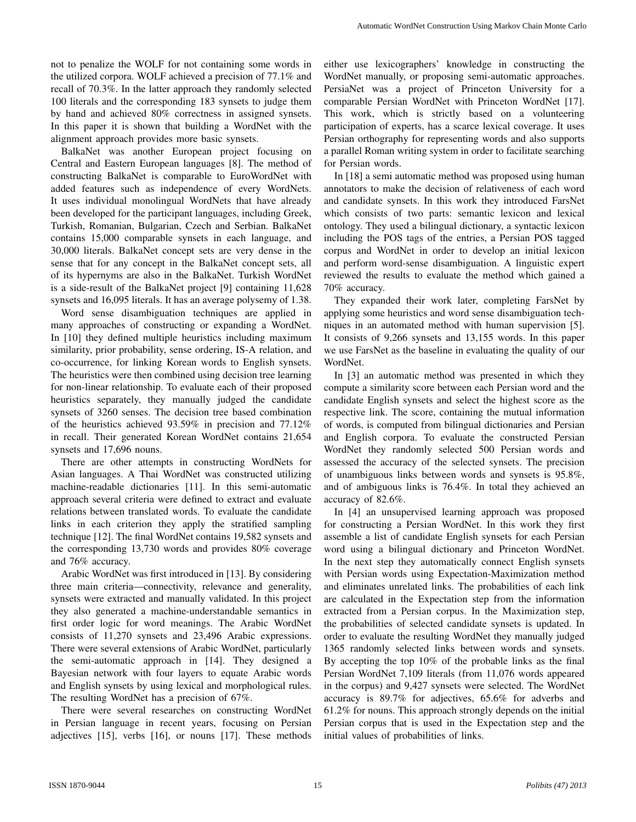not to penalize the WOLF for not containing some words in the utilized corpora. WOLF achieved a precision of 77.1% and recall of 70.3%. In the latter approach they randomly selected 100 literals and the corresponding 183 synsets to judge them by hand and achieved 80% correctness in assigned synsets. In this paper it is shown that building a WordNet with the alignment approach provides more basic synsets.

BalkaNet was another European project focusing on Central and Eastern European languages [8]. The method of constructing BalkaNet is comparable to EuroWordNet with added features such as independence of every WordNets. It uses individual monolingual WordNets that have already been developed for the participant languages, including Greek, Turkish, Romanian, Bulgarian, Czech and Serbian. BalkaNet contains 15,000 comparable synsets in each language, and 30,000 literals. BalkaNet concept sets are very dense in the sense that for any concept in the BalkaNet concept sets, all of its hypernyms are also in the BalkaNet. Turkish WordNet is a side-result of the BalkaNet project [9] containing 11,628 synsets and 16,095 literals. It has an average polysemy of 1.38.

Word sense disambiguation techniques are applied in many approaches of constructing or expanding a WordNet. In [10] they defined multiple heuristics including maximum similarity, prior probability, sense ordering, IS-A relation, and co-occurrence, for linking Korean words to English synsets. The heuristics were then combined using decision tree learning for non-linear relationship. To evaluate each of their proposed heuristics separately, they manually judged the candidate synsets of 3260 senses. The decision tree based combination of the heuristics achieved 93.59% in precision and 77.12% in recall. Their generated Korean WordNet contains 21,654 synsets and 17,696 nouns.

There are other attempts in constructing WordNets for Asian languages. A Thai WordNet was constructed utilizing machine-readable dictionaries [11]. In this semi-automatic approach several criteria were defined to extract and evaluate relations between translated words. To evaluate the candidate links in each criterion they apply the stratified sampling technique [12]. The final WordNet contains 19,582 synsets and the corresponding 13,730 words and provides 80% coverage and 76% accuracy.

Arabic WordNet was first introduced in [13]. By considering three main criteria—connectivity, relevance and generality, synsets were extracted and manually validated. In this project they also generated a machine-understandable semantics in first order logic for word meanings. The Arabic WordNet consists of 11,270 synsets and 23,496 Arabic expressions. There were several extensions of Arabic WordNet, particularly the semi-automatic approach in [14]. They designed a Bayesian network with four layers to equate Arabic words and English synsets by using lexical and morphological rules. The resulting WordNet has a precision of 67%.

There were several researches on constructing WordNet in Persian language in recent years, focusing on Persian adjectives [15], verbs [16], or nouns [17]. These methods either use lexicographers' knowledge in constructing the WordNet manually, or proposing semi-automatic approaches. PersiaNet was a project of Princeton University for a comparable Persian WordNet with Princeton WordNet [17]. This work, which is strictly based on a volunteering participation of experts, has a scarce lexical coverage. It uses Persian orthography for representing words and also supports a parallel Roman writing system in order to facilitate searching for Persian words.

In [18] a semi automatic method was proposed using human annotators to make the decision of relativeness of each word and candidate synsets. In this work they introduced FarsNet which consists of two parts: semantic lexicon and lexical ontology. They used a bilingual dictionary, a syntactic lexicon including the POS tags of the entries, a Persian POS tagged corpus and WordNet in order to develop an initial lexicon and perform word-sense disambiguation. A linguistic expert reviewed the results to evaluate the method which gained a 70% accuracy.

They expanded their work later, completing FarsNet by applying some heuristics and word sense disambiguation techniques in an automated method with human supervision [5]. It consists of 9,266 synsets and 13,155 words. In this paper we use FarsNet as the baseline in evaluating the quality of our WordNet.

In [3] an automatic method was presented in which they compute a similarity score between each Persian word and the candidate English synsets and select the highest score as the respective link. The score, containing the mutual information of words, is computed from bilingual dictionaries and Persian and English corpora. To evaluate the constructed Persian WordNet they randomly selected 500 Persian words and assessed the accuracy of the selected synsets. The precision of unambiguous links between words and synsets is 95.8%, and of ambiguous links is 76.4%. In total they achieved an accuracy of 82.6%.

In [4] an unsupervised learning approach was proposed for constructing a Persian WordNet. In this work they first assemble a list of candidate English synsets for each Persian word using a bilingual dictionary and Princeton WordNet. In the next step they automatically connect English synsets with Persian words using Expectation-Maximization method and eliminates unrelated links. The probabilities of each link are calculated in the Expectation step from the information extracted from a Persian corpus. In the Maximization step, the probabilities of selected candidate synsets is updated. In order to evaluate the resulting WordNet they manually judged 1365 randomly selected links between words and synsets. By accepting the top 10% of the probable links as the final Persian WordNet 7,109 literals (from 11,076 words appeared in the corpus) and 9,427 synsets were selected. The WordNet accuracy is 89.7% for adjectives, 65.6% for adverbs and 61.2% for nouns. This approach strongly depends on the initial Persian corpus that is used in the Expectation step and the initial values of probabilities of links.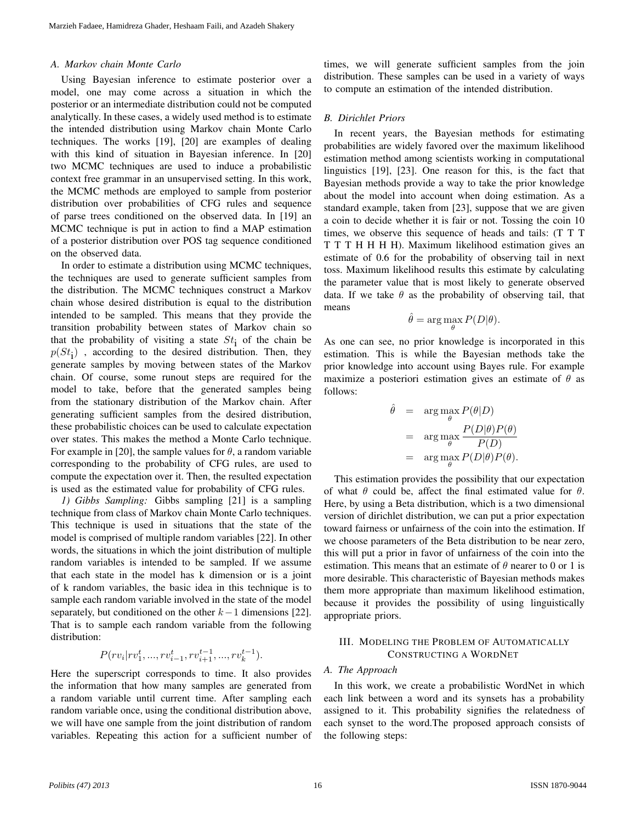## *A. Markov chain Monte Carlo*

Using Bayesian inference to estimate posterior over a model, one may come across a situation in which the posterior or an intermediate distribution could not be computed analytically. In these cases, a widely used method is to estimate the intended distribution using Markov chain Monte Carlo techniques. The works [19], [20] are examples of dealing with this kind of situation in Bayesian inference. In [20] two MCMC techniques are used to induce a probabilistic context free grammar in an unsupervised setting. In this work, the MCMC methods are employed to sample from posterior distribution over probabilities of CFG rules and sequence of parse trees conditioned on the observed data. In [19] an MCMC technique is put in action to find a MAP estimation of a posterior distribution over POS tag sequence conditioned on the observed data.

In order to estimate a distribution using MCMC techniques, the techniques are used to generate sufficient samples from the distribution. The MCMC techniques construct a Markov chain whose desired distribution is equal to the distribution intended to be sampled. This means that they provide the transition probability between states of Markov chain so that the probability of visiting a state  $St<sub>i</sub>$  of the chain be  $p(St<sub>i</sub>)$ , according to the desired distribution. Then, they generate samples by moving between states of the Markov chain. Of course, some runout steps are required for the model to take, before that the generated samples being from the stationary distribution of the Markov chain. After generating sufficient samples from the desired distribution, these probabilistic choices can be used to calculate expectation over states. This makes the method a Monte Carlo technique. For example in [20], the sample values for  $\theta$ , a random variable corresponding to the probability of CFG rules, are used to compute the expectation over it. Then, the resulted expectation is used as the estimated value for probability of CFG rules.

*1) Gibbs Sampling:* Gibbs sampling [21] is a sampling technique from class of Markov chain Monte Carlo techniques. This technique is used in situations that the state of the model is comprised of multiple random variables [22]. In other words, the situations in which the joint distribution of multiple random variables is intended to be sampled. If we assume that each state in the model has k dimension or is a joint of k random variables, the basic idea in this technique is to sample each random variable involved in the state of the model separately, but conditioned on the other  $k-1$  dimensions [22]. That is to sample each random variable from the following distribution:

$$
P(rv_i | rv_1^t, ..., rv_{i-1}^t, rv_{i+1}^{t-1}, ..., rv_k^{t-1}).
$$

Here the superscript corresponds to time. It also provides the information that how many samples are generated from a random variable until current time. After sampling each random variable once, using the conditional distribution above, we will have one sample from the joint distribution of random variables. Repeating this action for a sufficient number of times, we will generate sufficient samples from the join distribution. These samples can be used in a variety of ways to compute an estimation of the intended distribution.

# *B. Dirichlet Priors*

In recent years, the Bayesian methods for estimating probabilities are widely favored over the maximum likelihood estimation method among scientists working in computational linguistics [19], [23]. One reason for this, is the fact that Bayesian methods provide a way to take the prior knowledge about the model into account when doing estimation. As a standard example, taken from [23], suppose that we are given a coin to decide whether it is fair or not. Tossing the coin 10 times, we observe this sequence of heads and tails: (T T T T T T H H H H). Maximum likelihood estimation gives an estimate of 0.6 for the probability of observing tail in next toss. Maximum likelihood results this estimate by calculating the parameter value that is most likely to generate observed data. If we take  $\theta$  as the probability of observing tail, that means

$$
\hat{\theta} = \arg\max_{\theta} P(D|\theta).
$$

As one can see, no prior knowledge is incorporated in this estimation. This is while the Bayesian methods take the prior knowledge into account using Bayes rule. For example maximize a posteriori estimation gives an estimate of  $\theta$  as follows:

$$
\hat{\theta} = \arg \max_{\theta} P(\theta|D) \n= \arg \max_{\theta} \frac{P(D|\theta)P(\theta)}{P(D)} \n= \arg \max_{\theta} P(D|\theta)P(\theta).
$$

This estimation provides the possibility that our expectation of what  $\theta$  could be, affect the final estimated value for  $\theta$ . Here, by using a Beta distribution, which is a two dimensional version of dirichlet distribution, we can put a prior expectation toward fairness or unfairness of the coin into the estimation. If we choose parameters of the Beta distribution to be near zero, this will put a prior in favor of unfairness of the coin into the estimation. This means that an estimate of  $\theta$  nearer to 0 or 1 is more desirable. This characteristic of Bayesian methods makes them more appropriate than maximum likelihood estimation, because it provides the possibility of using linguistically appropriate priors.

# III. MODELING THE PROBLEM OF AUTOMATICALLY CONSTRUCTING A WORDNET

#### *A. The Approach*

In this work, we create a probabilistic WordNet in which each link between a word and its synsets has a probability assigned to it. This probability signifies the relatedness of each synset to the word.The proposed approach consists of the following steps: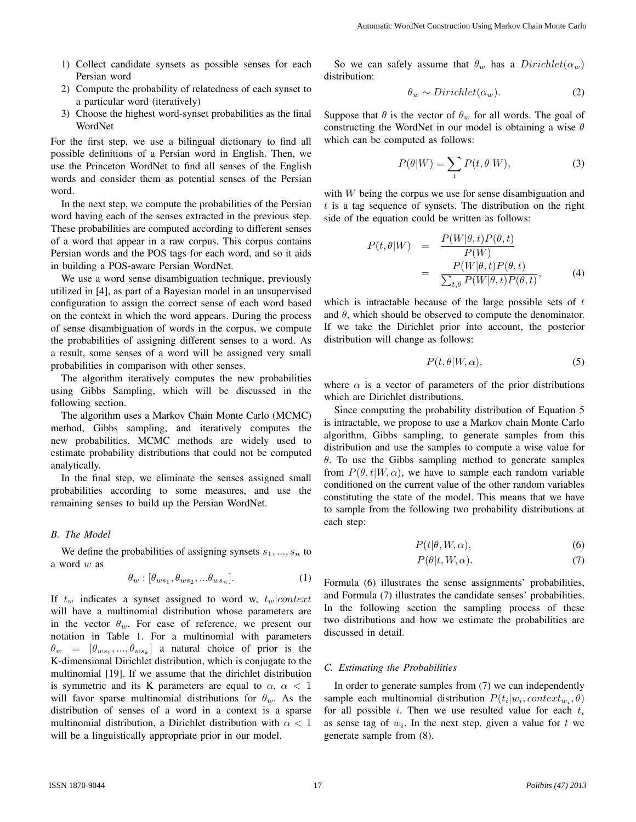- 1) Collect candidate synsets as possible senses for each Persian word
- 2) Compute the probability of relatedness of each synset to a particular word (iteratively)
- 3) Choose the highest word-synset probabilities as the final WordNet

For the first step, we use a bilingual dictionary to find all possible definitions of a Persian word in English. Then, we use the Princeton WordNet to find all senses of the English words and consider them as potential senses of the Persian word.

In the next step, we compute the probabilities of the Persian word having each of the senses extracted in the previous step. These probabilities are computed according to different senses of a word that appear in a raw corpus. This corpus contains Persian words and the POS tags for each word, and so it aids in building a POS-aware Persian WordNet.

We use a word sense disambiguation technique, previously utilized in [4], as part of a Bayesian model in an unsupervised configuration to assign the correct sense of each word based on the context in which the word appears. During the process of sense disambiguation of words in the corpus, we compute the probabilities of assigning different senses to a word. As a result, some senses of a word will be assigned very small probabilities in comparison with other senses.

The algorithm iteratively computes the new probabilities using Gibbs Sampling, which will be discussed in the following section.

The algorithm uses a Markov Chain Monte Carlo (MCMC) method, Gibbs sampling, and iteratively computes the new probabilities. MCMC methods are widely used to estimate probability distributions that could not be computed analytically.

In the final step, we eliminate the senses assigned small probabilities according to some measures, and use the remaining senses to build up the Persian WordNet.

# *B. The Model*

We define the probabilities of assigning synsets  $s_1, ..., s_n$  to a word w as

$$
\theta_w : [\theta_{ws_1}, \theta_{ws_2}, ... \theta_{ws_n}]. \tag{1}
$$

If  $t_w$  indicates a synset assigned to word w,  $t_w|context$ will have a multinomial distribution whose parameters are in the vector  $\theta_w$ . For ease of reference, we present our notation in Table 1. For a multinomial with parameters  $\theta_w = [\theta_{ws_1}, ..., \theta_{ws_k}]$  a natural choice of prior is the K-dimensional Dirichlet distribution, which is conjugate to the multinomial [19]. If we assume that the dirichlet distribution is symmetric and its K parameters are equal to  $\alpha$ ,  $\alpha$  < 1 will favor sparse multinomial distributions for  $\theta_w$ . As the distribution of senses of a word in a context is a sparse multinomial distribution, a Dirichlet distribution with  $\alpha < 1$ will be a linguistically appropriate prior in our model.

So we can safely assume that  $\theta_w$  has a  $Dirichlet(\alpha_w)$ distribution:

$$
\theta_w \sim Dirichlet(\alpha_w). \tag{2}
$$

Suppose that  $\theta$  is the vector of  $\theta_w$  for all words. The goal of constructing the WordNet in our model is obtaining a wise  $\theta$ which can be computed as follows:

$$
P(\theta|W) = \sum_{t} P(t, \theta|W), \tag{3}
$$

with  $W$  being the corpus we use for sense disambiguation and  $t$  is a tag sequence of synsets. The distribution on the right side of the equation could be written as follows:

$$
P(t, \theta|W) = \frac{P(W|\theta, t)P(\theta, t)}{P(W)} = \frac{P(W|\theta, t)P(\theta, t)}{\sum_{t, \theta} P(W|\theta, t)P(\theta, t)},
$$
(4)

which is intractable because of the large possible sets of  $t$ and  $\theta$ , which should be observed to compute the denominator. If we take the Dirichlet prior into account, the posterior distribution will change as follows:

$$
P(t, \theta | W, \alpha), \tag{5}
$$

where  $\alpha$  is a vector of parameters of the prior distributions which are Dirichlet distributions.

Since computing the probability distribution of Equation 5 is intractable, we propose to use a Markov chain Monte Carlo algorithm, Gibbs sampling, to generate samples from this distribution and use the samples to compute a wise value for  $\theta$ . To use the Gibbs sampling method to generate samples from  $P(\theta, t|W, \alpha)$ , we have to sample each random variable conditioned on the current value of the other random variables constituting the state of the model. This means that we have to sample from the following two probability distributions at each step:

$$
P(t|\theta, W, \alpha), \tag{6}
$$

$$
P(\theta|t, W, \alpha). \tag{7}
$$

Formula (6) illustrates the sense assignments' probabilities, and Formula (7) illustrates the candidate senses' probabilities. In the following section the sampling process of these two distributions and how we estimate the probabilities are discussed in detail.

#### *C. Estimating the Probabilities*

In order to generate samples from (7) we can independently sample each multinomial distribution  $P(t_i|w_i, context_{w_i}, \theta)$ for all possible i. Then we use resulted value for each  $t_i$ as sense tag of  $w_i$ . In the next step, given a value for t we generate sample from (8).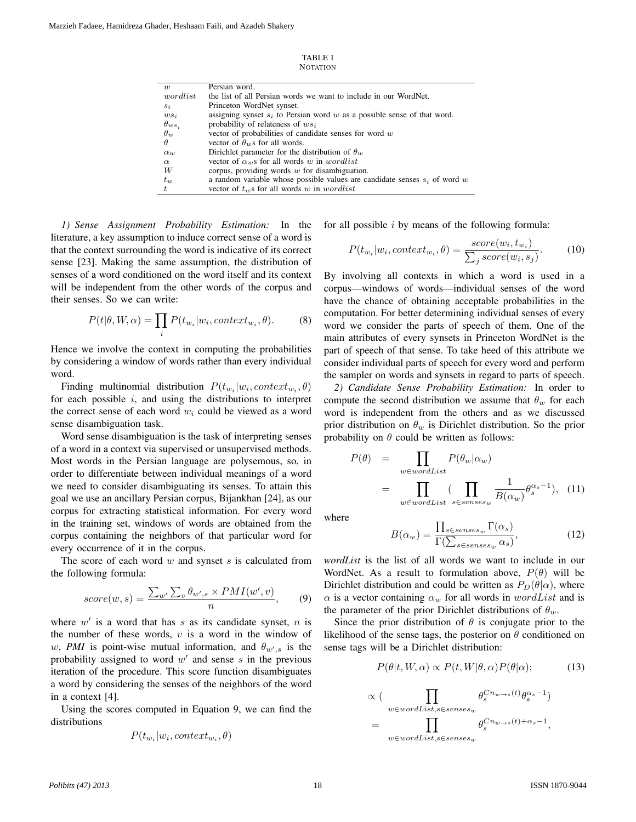| TABLE I         |  |
|-----------------|--|
| <b>NOTATION</b> |  |

| $\overline{w}$  | Persian word.                                                                |
|-----------------|------------------------------------------------------------------------------|
| wordlist        | the list of all Persian words we want to include in our WordNet.             |
| $s_i$           | Princeton WordNet synset.                                                    |
| $ws_i$          | assigning synset $s_i$ to Persian word w as a possible sense of that word.   |
| $\theta_{ws_i}$ | probability of relateness of $ws_i$                                          |
| $\theta_w$      | vector of probabilities of candidate senses for word $w$                     |
| $\theta$        | vector of $\theta_w$ s for all words.                                        |
| $\alpha_{u}$    | Dirichlet parameter for the distribution of $\theta_w$                       |
| $\alpha$        | vector of $\alpha_w$ s for all words w in wordlist                           |
| W               | corpus, providing words $w$ for disambiguation.                              |
| $t_w$           | a random variable whose possible values are candidate senses $s_i$ of word w |
| t.              | vector of $t_w$ s for all words w in wordlist                                |

*1) Sense Assignment Probability Estimation:* In the literature, a key assumption to induce correct sense of a word is that the context surrounding the word is indicative of its correct sense [23]. Making the same assumption, the distribution of senses of a word conditioned on the word itself and its context will be independent from the other words of the corpus and their senses. So we can write:

$$
P(t|\theta, W, \alpha) = \prod_{i} P(t_{w_i}|w_i, context_{w_i}, \theta).
$$
 (8)

Hence we involve the context in computing the probabilities by considering a window of words rather than every individual word.

Finding multinomial distribution  $P(t_{w_i}|w_i, context_{w_i}, \theta)$ for each possible  $i$ , and using the distributions to interpret the correct sense of each word  $w_i$  could be viewed as a word sense disambiguation task.

Word sense disambiguation is the task of interpreting senses of a word in a context via supervised or unsupervised methods. Most words in the Persian language are polysemous, so, in order to differentiate between individual meanings of a word we need to consider disambiguating its senses. To attain this goal we use an ancillary Persian corpus, Bijankhan [24], as our corpus for extracting statistical information. For every word in the training set, windows of words are obtained from the corpus containing the neighbors of that particular word for every occurrence of it in the corpus.

The score of each word  $w$  and synset  $s$  is calculated from the following formula:

$$
score(w, s) = \frac{\sum_{w'} \sum_{v} \theta_{w', s} \times PMI(w', v)}{n}, \qquad (9)
$$

where  $w'$  is a word that has s as its candidate synset, n is the number of these words,  $v$  is a word in the window of w, PMI is point-wise mutual information, and  $\theta_{w',s}$  is the probability assigned to word  $w'$  and sense s in the previous iteration of the procedure. This score function disambiguates a word by considering the senses of the neighbors of the word in a context [4].

Using the scores computed in Equation 9, we can find the distributions

$$
P(t_{w_i}|w_i, context_{w_i}, \theta)
$$

for all possible  $i$  by means of the following formula:

$$
P(t_{w_i}|w_i, context_{w_i}, \theta) = \frac{score(w_i, t_{w_i})}{\sum_j score(w_i, s_j)}.
$$
 (10)

By involving all contexts in which a word is used in a corpus—windows of words—individual senses of the word have the chance of obtaining acceptable probabilities in the computation. For better determining individual senses of every word we consider the parts of speech of them. One of the main attributes of every synsets in Princeton WordNet is the part of speech of that sense. To take heed of this attribute we consider individual parts of speech for every word and perform the sampler on words and synsets in regard to parts of speech.

*2) Candidate Sense Probability Estimation:* In order to compute the second distribution we assume that  $\theta_w$  for each word is independent from the others and as we discussed prior distribution on  $\theta_w$  is Dirichlet distribution. So the prior probability on  $\theta$  could be written as follows:

$$
P(\theta) = \prod_{w \in wordList} P(\theta_w | \alpha_w)
$$
  
= 
$$
\prod_{w \in wordList} (\prod_{s \in senses_w} \frac{1}{B(\alpha_w)} \theta_s^{\alpha_s - 1}), \quad (11)
$$

where

$$
B(\alpha_w) = \frac{\prod_{s \in senses_w} \Gamma(\alpha_s)}{\Gamma(\sum_{s \in senses_w} \alpha_s)},\tag{12}
$$

*wordList* is the list of all words we want to include in our WordNet. As a result to formulation above,  $P(\theta)$  will be Dirichlet distribution and could be written as  $P_D(\theta|\alpha)$ , where  $\alpha$  is a vector containing  $\alpha_w$  for all words in wordList and is the parameter of the prior Dirichlet distributions of  $\theta_w$ .

Since the prior distribution of  $\theta$  is conjugate prior to the likelihood of the sense tags, the posterior on  $\theta$  conditioned on sense tags will be a Dirichlet distribution:

$$
P(\theta|t, W, \alpha) \propto P(t, W|\theta, \alpha) P(\theta|\alpha); \tag{13}
$$

$$
\propto (\prod_{w \in wordList, s \in senses_w} \theta_s^{Cn_{w \to s}(t)} \theta_s^{\alpha_s - 1})
$$
  
= 
$$
\prod_{w \in wordList, s \in senses_w} \theta_s^{Cn_{w \to s}(t) + \alpha_s - 1},
$$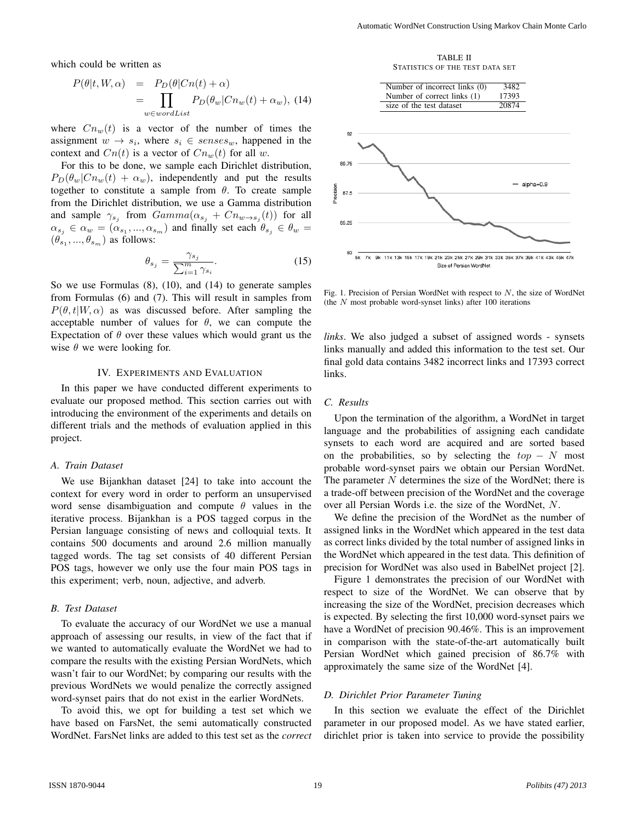which could be written as

$$
P(\theta|t, W, \alpha) = P_D(\theta|Cn(t) + \alpha)
$$
  
= 
$$
\prod_{w \in wordList} P_D(\theta_w|Cn_w(t) + \alpha_w),
$$
 (14)

where  $Cn_w(t)$  is a vector of the number of times the assignment  $w \rightarrow s_i$ , where  $s_i \in senses_w$ , happened in the context and  $Cn(t)$  is a vector of  $Cn_w(t)$  for all w.

For this to be done, we sample each Dirichlet distribution,  $P_D(\theta_w|Cn_w(t) + \alpha_w)$ , independently and put the results together to constitute a sample from  $\theta$ . To create sample from the Dirichlet distribution, we use a Gamma distribution and sample  $\gamma_{s_j}$  from  $Gamma(\alpha_{s_j} + Cn_{w \to s_j}(t))$  for all  $\alpha_{s_j} \in \alpha_w = (\alpha_{s_1}, ..., \alpha_{s_m})$  and finally set each  $\theta_{s_j} \in \theta_w =$  $(\theta_{s_1}, ..., \theta_{s_m})$  as follows:

$$
\theta_{s_j} = \frac{\gamma_{s_j}}{\sum_{i=1}^m \gamma_{s_i}}.\tag{15}
$$

So we use Formulas (8), (10), and (14) to generate samples from Formulas (6) and (7). This will result in samples from  $P(\theta, t|W, \alpha)$  as was discussed before. After sampling the acceptable number of values for  $\theta$ , we can compute the Expectation of  $\theta$  over these values which would grant us the wise  $\theta$  we were looking for.

## IV. EXPERIMENTS AND EVALUATION

In this paper we have conducted different experiments to evaluate our proposed method. This section carries out with introducing the environment of the experiments and details on different trials and the methods of evaluation applied in this project.

#### *A. Train Dataset*

We use Bijankhan dataset [24] to take into account the context for every word in order to perform an unsupervised word sense disambiguation and compute  $\theta$  values in the iterative process. Bijankhan is a POS tagged corpus in the Persian language consisting of news and colloquial texts. It contains 500 documents and around 2.6 million manually tagged words. The tag set consists of 40 different Persian POS tags, however we only use the four main POS tags in this experiment; verb, noun, adjective, and adverb.

#### *B. Test Dataset*

To evaluate the accuracy of our WordNet we use a manual approach of assessing our results, in view of the fact that if we wanted to automatically evaluate the WordNet we had to compare the results with the existing Persian WordNets, which wasn't fair to our WordNet; by comparing our results with the previous WordNets we would penalize the correctly assigned word-synset pairs that do not exist in the earlier WordNets.

To avoid this, we opt for building a test set which we have based on FarsNet, the semi automatically constructed WordNet. FarsNet links are added to this test set as the *correct*

TABLE II STATISTICS OF THE TEST DATA SET



Fig. 1. Precision of Persian WordNet with respect to  $N$ , the size of WordNet (the  $N$  most probable word-synset links) after 100 iterations

*links*. We also judged a subset of assigned words - synsets links manually and added this information to the test set. Our final gold data contains 3482 incorrect links and 17393 correct links.

#### *C. Results*

Upon the termination of the algorithm, a WordNet in target language and the probabilities of assigning each candidate synsets to each word are acquired and are sorted based on the probabilities, so by selecting the  $top - N$  most probable word-synset pairs we obtain our Persian WordNet. The parameter  $N$  determines the size of the WordNet; there is a trade-off between precision of the WordNet and the coverage over all Persian Words i.e. the size of the WordNet, N.

We define the precision of the WordNet as the number of assigned links in the WordNet which appeared in the test data as correct links divided by the total number of assigned links in the WordNet which appeared in the test data. This definition of precision for WordNet was also used in BabelNet project [2].

Figure 1 demonstrates the precision of our WordNet with respect to size of the WordNet. We can observe that by increasing the size of the WordNet, precision decreases which is expected. By selecting the first 10,000 word-synset pairs we have a WordNet of precision 90.46%. This is an improvement in comparison with the state-of-the-art automatically built Persian WordNet which gained precision of 86.7% with approximately the same size of the WordNet [4].

#### *D. Dirichlet Prior Parameter Tuning*

In this section we evaluate the effect of the Dirichlet parameter in our proposed model. As we have stated earlier, dirichlet prior is taken into service to provide the possibility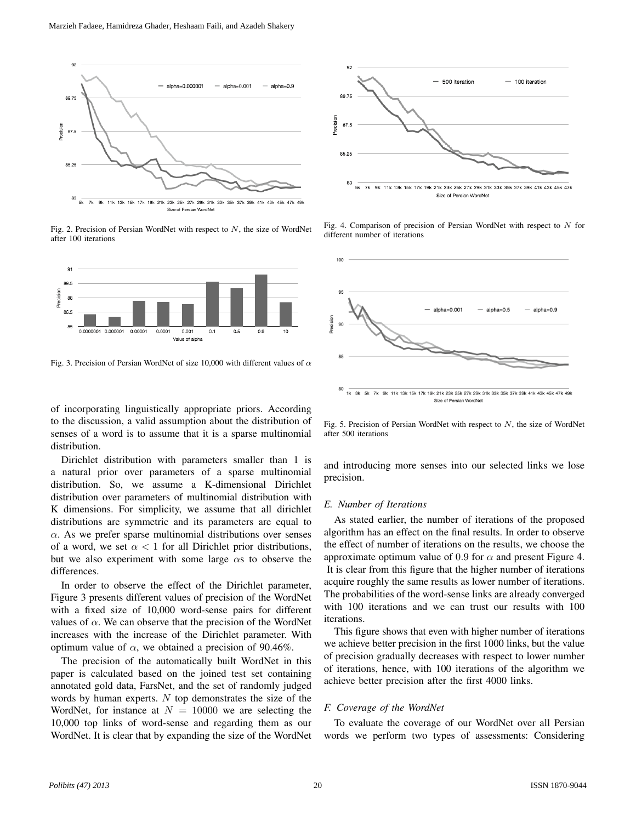

Fig. 2. Precision of Persian WordNet with respect to  $N$ , the size of WordNet after 100 iterations



Fig. 3. Precision of Persian WordNet of size 10,000 with different values of  $\alpha$ 

of incorporating linguistically appropriate priors. According to the discussion, a valid assumption about the distribution of senses of a word is to assume that it is a sparse multinomial distribution.

Dirichlet distribution with parameters smaller than 1 is a natural prior over parameters of a sparse multinomial distribution. So, we assume a K-dimensional Dirichlet distribution over parameters of multinomial distribution with K dimensions. For simplicity, we assume that all dirichlet distributions are symmetric and its parameters are equal to  $\alpha$ . As we prefer sparse multinomial distributions over senses of a word, we set  $\alpha < 1$  for all Dirichlet prior distributions, but we also experiment with some large  $\alpha$ s to observe the differences.

In order to observe the effect of the Dirichlet parameter, Figure 3 presents different values of precision of the WordNet with a fixed size of 10,000 word-sense pairs for different values of  $\alpha$ . We can observe that the precision of the WordNet increases with the increase of the Dirichlet parameter. With optimum value of  $\alpha$ , we obtained a precision of 90.46%.

The precision of the automatically built WordNet in this paper is calculated based on the joined test set containing annotated gold data, FarsNet, and the set of randomly judged words by human experts. N top demonstrates the size of the WordNet, for instance at  $N = 10000$  we are selecting the 10,000 top links of word-sense and regarding them as our WordNet. It is clear that by expanding the size of the WordNet



Fig. 4. Comparison of precision of Persian WordNet with respect to  $N$  for different number of iterations



Fig. 5. Precision of Persian WordNet with respect to  $N$ , the size of WordNet after 500 iterations

and introducing more senses into our selected links we lose precision.

# *E. Number of Iterations*

As stated earlier, the number of iterations of the proposed algorithm has an effect on the final results. In order to observe the effect of number of iterations on the results, we choose the approximate optimum value of 0.9 for  $\alpha$  and present Figure 4. It is clear from this figure that the higher number of iterations acquire roughly the same results as lower number of iterations. The probabilities of the word-sense links are already converged with 100 iterations and we can trust our results with 100 iterations.

This figure shows that even with higher number of iterations we achieve better precision in the first 1000 links, but the value of precision gradually decreases with respect to lower number of iterations, hence, with 100 iterations of the algorithm we achieve better precision after the first 4000 links.

# *F. Coverage of the WordNet*

To evaluate the coverage of our WordNet over all Persian words we perform two types of assessments: Considering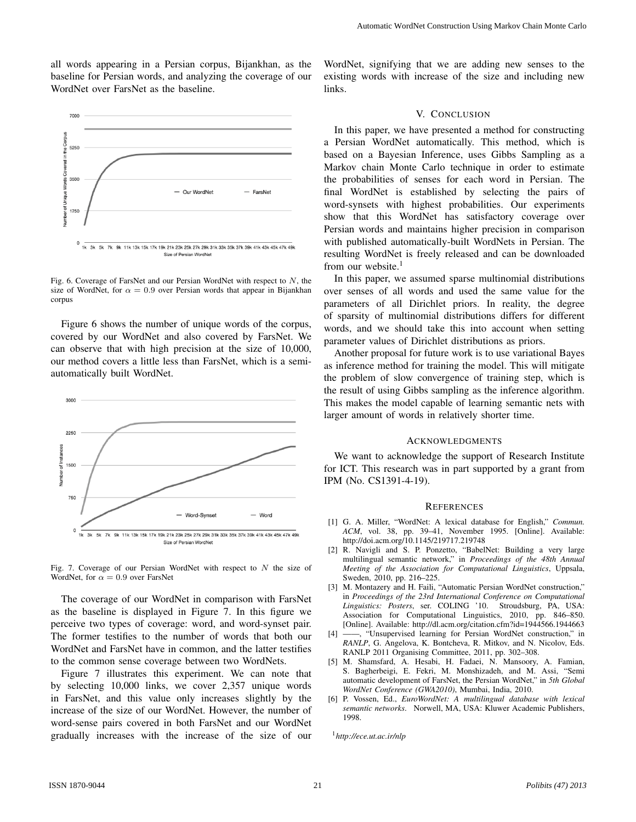all words appearing in a Persian corpus, Bijankhan, as the baseline for Persian words, and analyzing the coverage of our WordNet over FarsNet as the baseline.



Fig. 6. Coverage of FarsNet and our Persian WordNet with respect to  $N$ , the size of WordNet, for  $\alpha = 0.9$  over Persian words that appear in Bijankhan corpus

Figure 6 shows the number of unique words of the corpus, covered by our WordNet and also covered by FarsNet. We can observe that with high precision at the size of 10,000, our method covers a little less than FarsNet, which is a semiautomatically built WordNet.



Fig. 7. Coverage of our Persian WordNet with respect to  $N$  the size of WordNet, for  $\alpha = 0.9$  over FarsNet

The coverage of our WordNet in comparison with FarsNet as the baseline is displayed in Figure 7. In this figure we perceive two types of coverage: word, and word-synset pair. The former testifies to the number of words that both our WordNet and FarsNet have in common, and the latter testifies to the common sense coverage between two WordNets.

Figure 7 illustrates this experiment. We can note that by selecting 10,000 links, we cover 2,357 unique words in FarsNet, and this value only increases slightly by the increase of the size of our WordNet. However, the number of word-sense pairs covered in both FarsNet and our WordNet gradually increases with the increase of the size of our

WordNet, signifying that we are adding new senses to the existing words with increase of the size and including new links.

# V. CONCLUSION

In this paper, we have presented a method for constructing a Persian WordNet automatically. This method, which is based on a Bayesian Inference, uses Gibbs Sampling as a Markov chain Monte Carlo technique in order to estimate the probabilities of senses for each word in Persian. The final WordNet is established by selecting the pairs of word-synsets with highest probabilities. Our experiments show that this WordNet has satisfactory coverage over Persian words and maintains higher precision in comparison with published automatically-built WordNets in Persian. The resulting WordNet is freely released and can be downloaded from our website. $<sup>1</sup>$ </sup>

In this paper, we assumed sparse multinomial distributions over senses of all words and used the same value for the parameters of all Dirichlet priors. In reality, the degree of sparsity of multinomial distributions differs for different words, and we should take this into account when setting parameter values of Dirichlet distributions as priors.

Another proposal for future work is to use variational Bayes as inference method for training the model. This will mitigate the problem of slow convergence of training step, which is the result of using Gibbs sampling as the inference algorithm. This makes the model capable of learning semantic nets with larger amount of words in relatively shorter time.

#### ACKNOWLEDGMENTS

We want to acknowledge the support of Research Institute for ICT. This research was in part supported by a grant from IPM (No. CS1391-4-19).

#### **REFERENCES**

- [1] G. A. Miller, "WordNet: A lexical database for English," *Commun. ACM*, vol. 38, pp. 39–41, November 1995. [Online]. Available: http://doi.acm.org/10.1145/219717.219748
- [2] R. Navigli and S. P. Ponzetto, "BabelNet: Building a very large multilingual semantic network," in *Proceedings of the 48th Annual Meeting of the Association for Computational Linguistics*, Uppsala, Sweden, 2010, pp. 216–225.
- [3] M. Montazery and H. Faili, "Automatic Persian WordNet construction," in *Proceedings of the 23rd International Conference on Computational Linguistics: Posters*, ser. COLING '10. Stroudsburg, PA, USA: Association for Computational Linguistics, 2010, pp. 846–850. [Online]. Available: http://dl.acm.org/citation.cfm?id=1944566.1944663
- [4] ——, "Unsupervised learning for Persian WordNet construction," in *RANLP*, G. Angelova, K. Bontcheva, R. Mitkov, and N. Nicolov, Eds. RANLP 2011 Organising Committee, 2011, pp. 302–308.
- [5] M. Shamsfard, A. Hesabi, H. Fadaei, N. Mansoory, A. Famian, S. Bagherbeigi, E. Fekri, M. Monshizadeh, and M. Assi, "Semi automatic development of FarsNet, the Persian WordNet," in *5th Global WordNet Conference (GWA2010)*, Mumbai, India, 2010.
- [6] P. Vossen, Ed., *EuroWordNet: A multilingual database with lexical semantic networks*. Norwell, MA, USA: Kluwer Academic Publishers, 1998.

<sup>1</sup>*http://ece.ut.ac.ir/nlp*